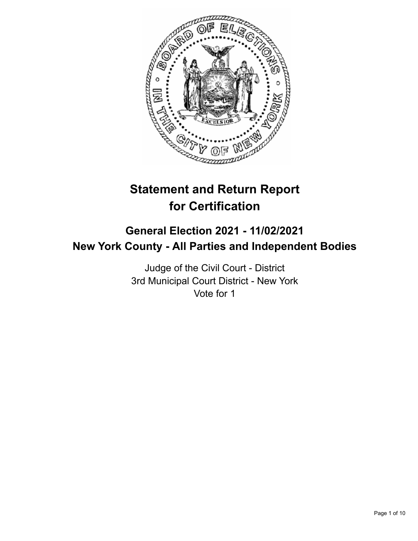

# **Statement and Return Report for Certification**

## **General Election 2021 - 11/02/2021 New York County - All Parties and Independent Bodies**

Judge of the Civil Court - District 3rd Municipal Court District - New York Vote for 1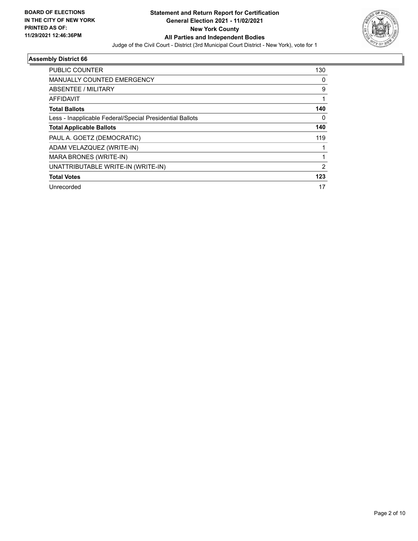

| <b>PUBLIC COUNTER</b>                                    | 130            |
|----------------------------------------------------------|----------------|
| <b>MANUALLY COUNTED EMERGENCY</b>                        | 0              |
| ABSENTEE / MILITARY                                      | 9              |
| AFFIDAVIT                                                |                |
| <b>Total Ballots</b>                                     | 140            |
| Less - Inapplicable Federal/Special Presidential Ballots | 0              |
| <b>Total Applicable Ballots</b>                          | 140            |
| PAUL A. GOETZ (DEMOCRATIC)                               | 119            |
| ADAM VELAZQUEZ (WRITE-IN)                                |                |
| MARA BRONES (WRITE-IN)                                   |                |
| UNATTRIBUTABLE WRITE-IN (WRITE-IN)                       | $\overline{2}$ |
| <b>Total Votes</b>                                       | 123            |
| Unrecorded                                               | 17             |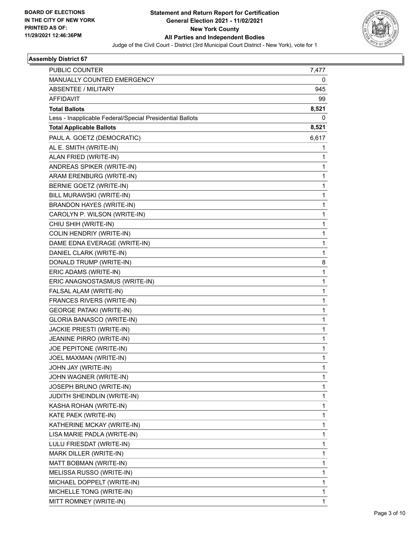

| <b>PUBLIC COUNTER</b>                                    | 7,477        |
|----------------------------------------------------------|--------------|
| MANUALLY COUNTED EMERGENCY                               | 0            |
| <b>ABSENTEE / MILITARY</b>                               | 945          |
| <b>AFFIDAVIT</b>                                         | 99           |
| <b>Total Ballots</b>                                     | 8,521        |
| Less - Inapplicable Federal/Special Presidential Ballots | 0            |
| <b>Total Applicable Ballots</b>                          | 8,521        |
| PAUL A. GOETZ (DEMOCRATIC)                               | 6,617        |
| AL E. SMITH (WRITE-IN)                                   | 1            |
| ALAN FRIED (WRITE-IN)                                    | 1            |
| ANDREAS SPIKER (WRITE-IN)                                | 1            |
| ARAM ERENBURG (WRITE-IN)                                 | 1            |
| BERNIE GOETZ (WRITE-IN)                                  | 1            |
| BILL MURAWSKI (WRITE-IN)                                 | $\mathbf{1}$ |
| <b>BRANDON HAYES (WRITE-IN)</b>                          | 1            |
| CAROLYN P. WILSON (WRITE-IN)                             | 1            |
| CHIU SHIH (WRITE-IN)                                     | $\mathbf{1}$ |
| COLIN HENDRIY (WRITE-IN)                                 | 1            |
| DAME EDNA EVERAGE (WRITE-IN)                             | 1            |
| DANIEL CLARK (WRITE-IN)                                  | $\mathbf{1}$ |
| DONALD TRUMP (WRITE-IN)                                  | 8            |
| ERIC ADAMS (WRITE-IN)                                    | 1            |
| ERIC ANAGNOSTASMUS (WRITE-IN)                            | 1            |
| FALSAL ALAM (WRITE-IN)                                   | 1            |
| FRANCES RIVERS (WRITE-IN)                                | 1            |
| <b>GEORGE PATAKI (WRITE-IN)</b>                          | 1            |
| GLORIA BANASCO (WRITE-IN)                                | 1            |
| <b>JACKIE PRIESTI (WRITE-IN)</b>                         | 1            |
| JEANINE PIRRO (WRITE-IN)                                 | 1            |
| JOE PEPITONE (WRITE-IN)                                  | 1            |
| JOEL MAXMAN (WRITE-IN)                                   | 1            |
| JOHN JAY (WRITE-IN)                                      | 1            |
| JOHN WAGNER (WRITE-IN)                                   | 1            |
| JOSEPH BRUNO (WRITE-IN)                                  | 1            |
| <b>JUDITH SHEINDLIN (WRITE-IN)</b>                       | 1            |
| KASHA ROHAN (WRITE-IN)                                   | 1            |
| KATE PAEK (WRITE-IN)                                     | 1            |
| KATHERINE MCKAY (WRITE-IN)                               | 1            |
| LISA MARIE PADLA (WRITE-IN)                              | 1            |
| LULU FRIESDAT (WRITE-IN)                                 | 1            |
| MARK DILLER (WRITE-IN)                                   | $\mathbf{1}$ |
| MATT BOBMAN (WRITE-IN)                                   | 1            |
| MELISSA RUSSO (WRITE-IN)                                 | 1            |
| MICHAEL DOPPELT (WRITE-IN)                               | 1            |
| MICHELLE TONG (WRITE-IN)                                 | 1            |
| MITT ROMNEY (WRITE-IN)                                   | 1            |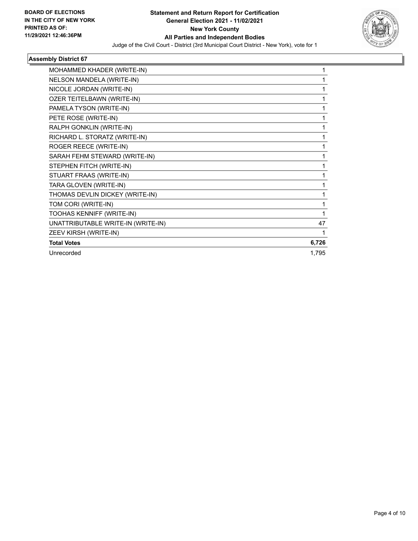

| MOHAMMED KHADER (WRITE-IN)         |       |
|------------------------------------|-------|
| NELSON MANDELA (WRITE-IN)          | 1     |
| NICOLE JORDAN (WRITE-IN)           |       |
| OZER TEITELBAWN (WRITE-IN)         | 1     |
| PAMELA TYSON (WRITE-IN)            | 1     |
| PETE ROSE (WRITE-IN)               |       |
| RALPH GONKLIN (WRITE-IN)           | 1     |
| RICHARD L. STORATZ (WRITE-IN)      | 1     |
| ROGER REECE (WRITE-IN)             |       |
| SARAH FEHM STEWARD (WRITE-IN)      | 1     |
| STEPHEN FITCH (WRITE-IN)           | 1     |
| STUART FRAAS (WRITE-IN)            |       |
| TARA GLOVEN (WRITE-IN)             | 1     |
| THOMAS DEVLIN DICKEY (WRITE-IN)    | 1     |
| TOM CORI (WRITE-IN)                | 1     |
| TOOHAS KENNIFF (WRITE-IN)          | 1     |
| UNATTRIBUTABLE WRITE-IN (WRITE-IN) | 47    |
| ZEEV KIRSH (WRITE-IN)              |       |
| <b>Total Votes</b>                 | 6,726 |
| Unrecorded                         | 1,795 |
|                                    |       |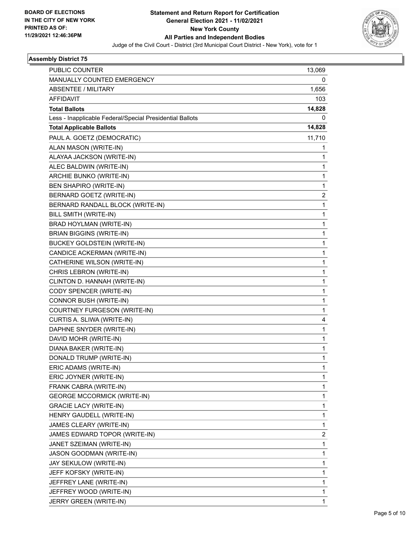

| <b>PUBLIC COUNTER</b>                                    | 13,069                  |
|----------------------------------------------------------|-------------------------|
| MANUALLY COUNTED EMERGENCY<br><b>ABSENTEE / MILITARY</b> | 0                       |
|                                                          | 1,656                   |
| <b>AFFIDAVIT</b>                                         | 103                     |
| <b>Total Ballots</b>                                     | 14,828<br>0             |
| Less - Inapplicable Federal/Special Presidential Ballots | 14,828                  |
| <b>Total Applicable Ballots</b>                          |                         |
| PAUL A. GOETZ (DEMOCRATIC)                               | 11,710                  |
| ALAN MASON (WRITE-IN)                                    | 1                       |
| ALAYAA JACKSON (WRITE-IN)                                | 1                       |
| ALEC BALDWIN (WRITE-IN)                                  | 1                       |
| ARCHIE BUNKO (WRITE-IN)                                  | 1                       |
| <b>BEN SHAPIRO (WRITE-IN)</b>                            | 1                       |
| BERNARD GOETZ (WRITE-IN)                                 | $\overline{\mathbf{c}}$ |
| BERNARD RANDALL BLOCK (WRITE-IN)                         | 1                       |
| BILL SMITH (WRITE-IN)                                    | 1                       |
| BRAD HOYLMAN (WRITE-IN)                                  | 1                       |
| <b>BRIAN BIGGINS (WRITE-IN)</b>                          | 1                       |
| <b>BUCKEY GOLDSTEIN (WRITE-IN)</b>                       | 1                       |
| CANDICE ACKERMAN (WRITE-IN)                              | 1                       |
| CATHERINE WILSON (WRITE-IN)                              | 1                       |
| CHRIS LEBRON (WRITE-IN)                                  | 1                       |
| CLINTON D. HANNAH (WRITE-IN)                             | 1                       |
| CODY SPENCER (WRITE-IN)                                  | 1                       |
| CONNOR BUSH (WRITE-IN)                                   | 1                       |
| COURTNEY FURGESON (WRITE-IN)                             | 1                       |
| CURTIS A. SLIWA (WRITE-IN)                               | 4                       |
| DAPHNE SNYDER (WRITE-IN)                                 | 1                       |
| DAVID MOHR (WRITE-IN)                                    | 1                       |
| DIANA BAKER (WRITE-IN)                                   | 1                       |
| DONALD TRUMP (WRITE-IN)                                  | 1                       |
| ERIC ADAMS (WRITE-IN)                                    | 1                       |
| ERIC JOYNER (WRITE-IN)                                   | 1                       |
| FRANK CABRA (WRITE-IN)                                   | 1                       |
| <b>GEORGE MCCORMICK (WRITE-IN)</b>                       | 1                       |
| <b>GRACIE LACY (WRITE-IN)</b>                            | 1                       |
| HENRY GAUDELL (WRITE-IN)                                 | 1                       |
| JAMES CLEARY (WRITE-IN)                                  | 1                       |
| JAMES EDWARD TOPOR (WRITE-IN)                            | 2                       |
| JANET SZEIMAN (WRITE-IN)                                 | 1                       |
| <b>JASON GOODMAN (WRITE-IN)</b>                          | 1                       |
| JAY SEKULOW (WRITE-IN)                                   | 1                       |
| JEFF KOFSKY (WRITE-IN)                                   | 1                       |
| JEFFREY LANE (WRITE-IN)                                  | 1                       |
| JEFFREY WOOD (WRITE-IN)                                  | 1                       |
| JERRY GREEN (WRITE-IN)                                   | 1                       |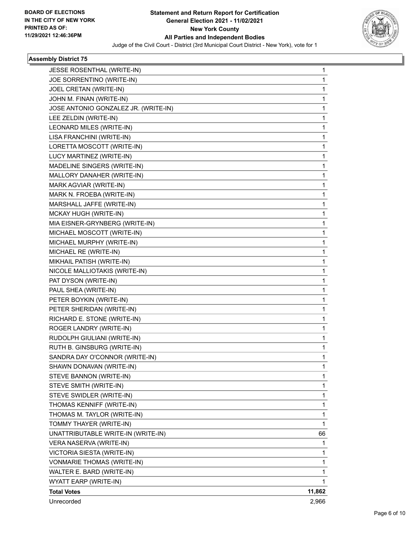

| JESSE ROSENTHAL (WRITE-IN)           | 1      |
|--------------------------------------|--------|
| JOE SORRENTINO (WRITE-IN)            | 1      |
| JOEL CRETAN (WRITE-IN)               | 1      |
| JOHN M. FINAN (WRITE-IN)             | 1      |
| JOSE ANTONIO GONZALEZ JR. (WRITE-IN) | 1      |
| LEE ZELDIN (WRITE-IN)                | 1      |
| LEONARD MILES (WRITE-IN)             | 1      |
| LISA FRANCHINI (WRITE-IN)            | 1      |
| LORETTA MOSCOTT (WRITE-IN)           | 1      |
| LUCY MARTINEZ (WRITE-IN)             | 1      |
| MADELINE SINGERS (WRITE-IN)          | 1      |
| MALLORY DANAHER (WRITE-IN)           | 1      |
| MARK AGVIAR (WRITE-IN)               | 1      |
| MARK N. FROEBA (WRITE-IN)            | 1      |
| MARSHALL JAFFE (WRITE-IN)            | 1      |
| MCKAY HUGH (WRITE-IN)                | 1      |
| MIA EISNER-GRYNBERG (WRITE-IN)       | 1      |
| MICHAEL MOSCOTT (WRITE-IN)           | 1      |
| MICHAEL MURPHY (WRITE-IN)            | 1      |
| MICHAEL RE (WRITE-IN)                | 1      |
| MIKHAIL PATISH (WRITE-IN)            | 1      |
| NICOLE MALLIOTAKIS (WRITE-IN)        | 1      |
| PAT DYSON (WRITE-IN)                 | 1      |
| PAUL SHEA (WRITE-IN)                 | 1      |
| PETER BOYKIN (WRITE-IN)              | 1      |
| PETER SHERIDAN (WRITE-IN)            | 1      |
| RICHARD E. STONE (WRITE-IN)          | 1      |
| ROGER LANDRY (WRITE-IN)              | 1      |
| RUDOLPH GIULIANI (WRITE-IN)          | 1      |
| RUTH B. GINSBURG (WRITE-IN)          | 1      |
| SANDRA DAY O'CONNOR (WRITE-IN)       | 1      |
| SHAWN DONAVAN (WRITE-IN)             | 1      |
| STEVE BANNON (WRITE-IN)              | 1      |
| STEVE SMITH (WRITE-IN)               | 1      |
| STEVE SWIDLER (WRITE-IN)             | 1      |
| THOMAS KENNIFF (WRITE-IN)            | 1      |
| THOMAS M. TAYLOR (WRITE-IN)          | 1      |
| TOMMY THAYER (WRITE-IN)              | 1      |
| UNATTRIBUTABLE WRITE-IN (WRITE-IN)   | 66     |
| VERA NASERVA (WRITE-IN)              | 1      |
| VICTORIA SIESTA (WRITE-IN)           | 1      |
| VONMARIE THOMAS (WRITE-IN)           | 1      |
| WALTER E. BARD (WRITE-IN)            | 1      |
| WYATT EARP (WRITE-IN)                | 1      |
| <b>Total Votes</b>                   | 11,862 |
| Unrecorded                           | 2,966  |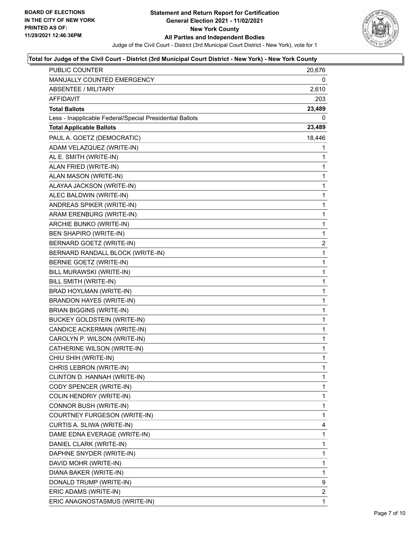

| PUBLIC COUNTER                                           | 20,676         |
|----------------------------------------------------------|----------------|
| MANUALLY COUNTED EMERGENCY                               | 0              |
| <b>ABSENTEE / MILITARY</b>                               | 2,610          |
| AFFIDAVIT                                                | 203            |
| <b>Total Ballots</b>                                     | 23,489         |
| Less - Inapplicable Federal/Special Presidential Ballots | 0              |
| <b>Total Applicable Ballots</b>                          | 23,489         |
| PAUL A. GOETZ (DEMOCRATIC)                               | 18,446         |
| ADAM VELAZQUEZ (WRITE-IN)                                | 1              |
| AL E. SMITH (WRITE-IN)                                   | 1              |
| ALAN FRIED (WRITE-IN)                                    | 1              |
| ALAN MASON (WRITE-IN)                                    | 1              |
| ALAYAA JACKSON (WRITE-IN)                                | 1              |
| ALEC BALDWIN (WRITE-IN)                                  | $\mathbf{1}$   |
| ANDREAS SPIKER (WRITE-IN)                                | 1              |
| ARAM ERENBURG (WRITE-IN)                                 | 1              |
| ARCHIE BUNKO (WRITE-IN)                                  | $\mathbf{1}$   |
| BEN SHAPIRO (WRITE-IN)                                   | 1              |
| <b>BERNARD GOETZ (WRITE-IN)</b>                          | $\overline{2}$ |
| BERNARD RANDALL BLOCK (WRITE-IN)                         | $\mathbf{1}$   |
| BERNIE GOETZ (WRITE-IN)                                  | 1              |
| BILL MURAWSKI (WRITE-IN)                                 | 1              |
| BILL SMITH (WRITE-IN)                                    | $\mathbf{1}$   |
| BRAD HOYLMAN (WRITE-IN)                                  | 1              |
| <b>BRANDON HAYES (WRITE-IN)</b>                          | 1              |
| <b>BRIAN BIGGINS (WRITE-IN)</b>                          | $\mathbf{1}$   |
| <b>BUCKEY GOLDSTEIN (WRITE-IN)</b>                       | 1              |
| CANDICE ACKERMAN (WRITE-IN)                              | 1              |
| CAROLYN P. WILSON (WRITE-IN)                             | $\mathbf{1}$   |
| CATHERINE WILSON (WRITE-IN)                              | 1              |
| CHIU SHIH (WRITE-IN)                                     | 1              |
| CHRIS LEBRON (WRITE-IN)                                  | $\mathbf{1}$   |
| CLINTON D. HANNAH (WRITE-IN)                             | 1              |
| CODY SPENCER (WRITE-IN)                                  | 1              |
| COLIN HENDRIY (WRITE-IN)                                 | 1              |
| CONNOR BUSH (WRITE-IN)                                   | 1              |
| COURTNEY FURGESON (WRITE-IN)                             | 1              |
| CURTIS A. SLIWA (WRITE-IN)                               | 4              |
| DAME EDNA EVERAGE (WRITE-IN)                             | 1              |
| DANIEL CLARK (WRITE-IN)                                  | 1              |
| DAPHNE SNYDER (WRITE-IN)                                 | 1              |
| DAVID MOHR (WRITE-IN)                                    | 1              |
| DIANA BAKER (WRITE-IN)                                   | 1              |
| DONALD TRUMP (WRITE-IN)                                  | 9              |
| ERIC ADAMS (WRITE-IN)                                    | 2              |
| ERIC ANAGNOSTASMUS (WRITE-IN)                            | 1              |
|                                                          |                |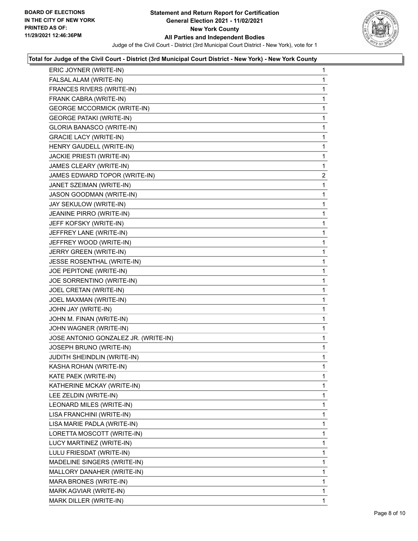

| ERIC JOYNER (WRITE-IN)               | 1              |
|--------------------------------------|----------------|
| FALSAL ALAM (WRITE-IN)               | 1              |
| FRANCES RIVERS (WRITE-IN)            | 1              |
| FRANK CABRA (WRITE-IN)               | 1              |
| <b>GEORGE MCCORMICK (WRITE-IN)</b>   | 1              |
| <b>GEORGE PATAKI (WRITE-IN)</b>      | 1              |
| <b>GLORIA BANASCO (WRITE-IN)</b>     | 1              |
| <b>GRACIE LACY (WRITE-IN)</b>        | 1              |
| HENRY GAUDELL (WRITE-IN)             | 1              |
| JACKIE PRIESTI (WRITE-IN)            | 1              |
| JAMES CLEARY (WRITE-IN)              | 1              |
| JAMES EDWARD TOPOR (WRITE-IN)        | $\overline{2}$ |
| JANET SZEIMAN (WRITE-IN)             | 1              |
| JASON GOODMAN (WRITE-IN)             | 1              |
| JAY SEKULOW (WRITE-IN)               | 1              |
| JEANINE PIRRO (WRITE-IN)             | 1              |
| JEFF KOFSKY (WRITE-IN)               | 1              |
| JEFFREY LANE (WRITE-IN)              | 1              |
| JEFFREY WOOD (WRITE-IN)              | 1              |
| JERRY GREEN (WRITE-IN)               | 1              |
| JESSE ROSENTHAL (WRITE-IN)           | 1              |
| JOE PEPITONE (WRITE-IN)              | 1              |
| JOE SORRENTINO (WRITE-IN)            | 1              |
| JOEL CRETAN (WRITE-IN)               | 1              |
| JOEL MAXMAN (WRITE-IN)               | 1              |
| JOHN JAY (WRITE-IN)                  | 1              |
| JOHN M. FINAN (WRITE-IN)             | 1              |
| JOHN WAGNER (WRITE-IN)               | 1              |
| JOSE ANTONIO GONZALEZ JR. (WRITE-IN) | 1              |
| JOSEPH BRUNO (WRITE-IN)              | 1              |
| JUDITH SHEINDLIN (WRITE-IN)          | 1              |
| KASHA ROHAN (WRITE-IN)               | 1              |
| KATE PAEK (WRITE-IN)                 | 1              |
| KATHERINE MCKAY (WRITE-IN)           | 1              |
| LEE ZELDIN (WRITE-IN)                | 1              |
| LEONARD MILES (WRITE-IN)             | 1              |
| LISA FRANCHINI (WRITE-IN)            | 1              |
| LISA MARIE PADLA (WRITE-IN)          | 1              |
| LORETTA MOSCOTT (WRITE-IN)           | 1              |
| LUCY MARTINEZ (WRITE-IN)             | 1              |
| LULU FRIESDAT (WRITE-IN)             | 1              |
| MADELINE SINGERS (WRITE-IN)          | 1              |
| MALLORY DANAHER (WRITE-IN)           | 1              |
| MARA BRONES (WRITE-IN)               | 1              |
| MARK AGVIAR (WRITE-IN)               | 1              |
| MARK DILLER (WRITE-IN)               | 1              |
|                                      |                |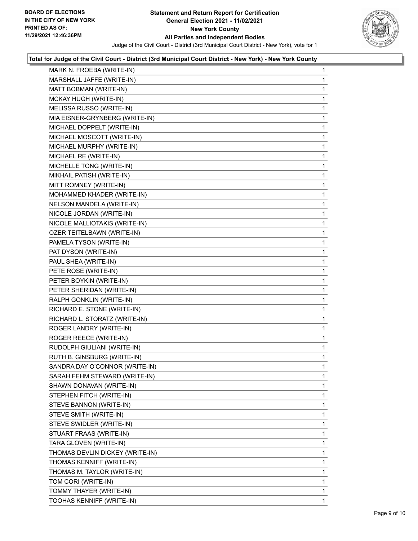

| MARK N. FROEBA (WRITE-IN)       | 1            |
|---------------------------------|--------------|
| MARSHALL JAFFE (WRITE-IN)       | 1            |
| MATT BOBMAN (WRITE-IN)          | 1            |
| MCKAY HUGH (WRITE-IN)           | 1            |
| MELISSA RUSSO (WRITE-IN)        | 1            |
| MIA EISNER-GRYNBERG (WRITE-IN)  | 1            |
| MICHAEL DOPPELT (WRITE-IN)      | $\mathbf{1}$ |
| MICHAEL MOSCOTT (WRITE-IN)      | 1            |
| MICHAEL MURPHY (WRITE-IN)       | 1            |
| MICHAEL RE (WRITE-IN)           | $\mathbf{1}$ |
| MICHELLE TONG (WRITE-IN)        | 1            |
| MIKHAIL PATISH (WRITE-IN)       | 1            |
| MITT ROMNEY (WRITE-IN)          | $\mathbf{1}$ |
| MOHAMMED KHADER (WRITE-IN)      | 1            |
| NELSON MANDELA (WRITE-IN)       | 1            |
| NICOLE JORDAN (WRITE-IN)        | 1            |
| NICOLE MALLIOTAKIS (WRITE-IN)   | 1            |
| OZER TEITELBAWN (WRITE-IN)      | 1            |
| PAMELA TYSON (WRITE-IN)         | $\mathbf{1}$ |
| PAT DYSON (WRITE-IN)            | 1            |
| PAUL SHEA (WRITE-IN)            | 1            |
| PETE ROSE (WRITE-IN)            | 1            |
| PETER BOYKIN (WRITE-IN)         | 1            |
| PETER SHERIDAN (WRITE-IN)       | 1            |
| RALPH GONKLIN (WRITE-IN)        | $\mathbf{1}$ |
| RICHARD E. STONE (WRITE-IN)     | 1            |
| RICHARD L. STORATZ (WRITE-IN)   | 1            |
| ROGER LANDRY (WRITE-IN)         | 1            |
| ROGER REECE (WRITE-IN)          | 1            |
| RUDOLPH GIULIANI (WRITE-IN)     | 1            |
| RUTH B. GINSBURG (WRITE-IN)     | $\mathbf{1}$ |
| SANDRA DAY O'CONNOR (WRITE-IN)  | 1            |
| SARAH FEHM STEWARD (WRITE-IN)   | 1            |
| SHAWN DONAVAN (WRITE-IN)        | 1            |
| STEPHEN FITCH (WRITE-IN)        | 1            |
| STEVE BANNON (WRITE-IN)         | 1            |
| STEVE SMITH (WRITE-IN)          | 1            |
| STEVE SWIDLER (WRITE-IN)        | 1            |
| STUART FRAAS (WRITE-IN)         | 1            |
| TARA GLOVEN (WRITE-IN)          | 1            |
| THOMAS DEVLIN DICKEY (WRITE-IN) | 1            |
| THOMAS KENNIFF (WRITE-IN)       | 1            |
| THOMAS M. TAYLOR (WRITE-IN)     | 1            |
| TOM CORI (WRITE-IN)             | 1            |
| TOMMY THAYER (WRITE-IN)         | 1            |
| TOOHAS KENNIFF (WRITE-IN)       | 1.           |
|                                 |              |